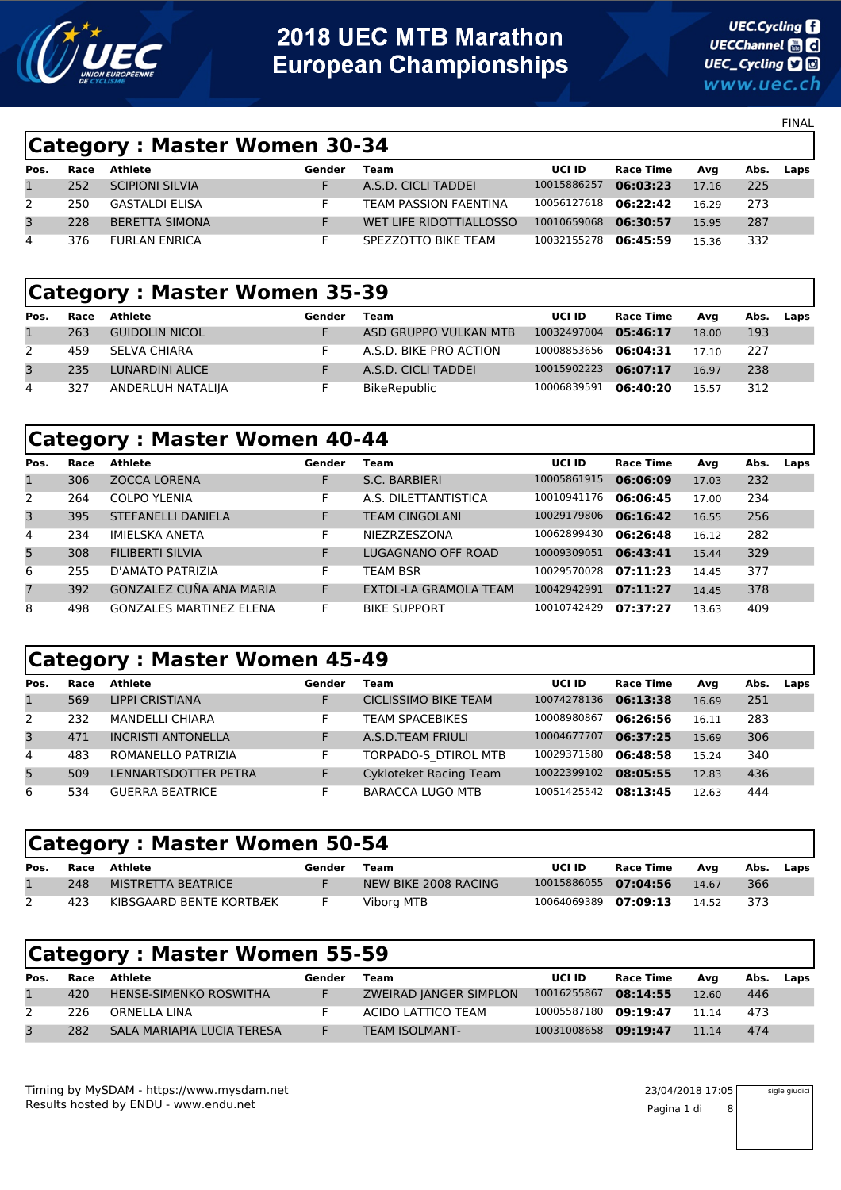

**UEC.Cycling UECChannel & O** UEC\_Cycling **D** @ www.uec.ch

FINAL

#### **Category : Master Women 30-34**

| Race | Athlete               | Gender | Team                    | UCI ID      | Race Time | Ava                                                         |     | Abs. Laps |
|------|-----------------------|--------|-------------------------|-------------|-----------|-------------------------------------------------------------|-----|-----------|
| 252  | SCIPIONI SILVIA       |        | A.S.D. CICLI TADDEI     | 10015886257 | 06:03:23  | 17.16                                                       | 225 |           |
| 250  | GASTALDI ELISA        |        | TEAM PASSION FAENTINA   |             |           | 16.29                                                       | 273 |           |
| 228  | <b>BERETTA SIMONA</b> |        | WET LIFE RIDOTTIALLOSSO |             | 06:30:57  | 15.95                                                       | 287 |           |
| 376  | <b>FURLAN ENRICA</b>  |        | SPEZZOTTO BIKE TEAM     |             |           | 15.36                                                       | 332 |           |
|      |                       |        |                         |             |           | 10056127618 06:22:42<br>10010659068<br>10032155278 06:45:59 |     |           |

#### **Category : Master Women 35-39**

| Pos.         | Race | Athlete               | Gender | Team                   | UCI ID               | Race Time | Avg   |     | Abs. Laps |
|--------------|------|-----------------------|--------|------------------------|----------------------|-----------|-------|-----|-----------|
| $\mathbf{1}$ | 263  | <b>GUIDOLIN NICOL</b> |        | ASD GRUPPO VULKAN MTB  | 10032497004          | 05:46:17  | 18.00 | 193 |           |
|              | 459  | SELVA CHIARA          |        | A.S.D. BIKE PRO ACTION | 10008853656 06:04:31 |           | 17.10 | 227 |           |
| 3            | 235  | LUNARDINI ALICE       |        | A.S.D. CICLI TADDEI    | 10015902223          | 06:07:17  | 16.97 | 238 |           |
| 4            | 327  | ANDERLUH NATALIJA     |        | BikeRepublic           | 10006839591 06:40:20 |           | 15.57 | 312 |           |

### **Category : Master Women 40-44**

| Pos. | Race | <b>Athlete</b>                 | Gender | Team                         | UCI ID      | <b>Race Time</b> | Avg   | Abs. | Laps |
|------|------|--------------------------------|--------|------------------------------|-------------|------------------|-------|------|------|
| 1    | 306  | <b>ZOCCA LORENA</b>            | F      | S.C. BARBIERI                | 10005861915 | 06:06:09         | 17.03 | 232  |      |
| 2    | 264  | <b>COLPO YLENIA</b>            | F      | A.S. DILETTANTISTICA         | 10010941176 | 06:06:45         | 17.00 | 234  |      |
| 3    | 395  | STEFANELLI DANIELA             | F      | <b>TEAM CINGOLANI</b>        | 10029179806 | 06:16:42         | 16.55 | 256  |      |
| 4    | 234  | IMIELSKA ANETA                 | F      | NIEZRZESZONA                 | 10062899430 | 06:26:48         | 16.12 | 282  |      |
| 5    | 308  | <b>FILIBERTI SILVIA</b>        | F      | LUGAGNANO OFF ROAD           | 10009309051 | 06:43:41         | 15.44 | 329  |      |
| 6    | 255  | D'AMATO PATRIZIA               | F      | TEAM BSR                     | 10029570028 | 07:11:23         | 14.45 | 377  |      |
| 7    | 392  | GONZALEZ CUÑA ANA MARIA        | F      | <b>EXTOL-LA GRAMOLA TEAM</b> | 10042942991 | 07:11:27         | 14.45 | 378  |      |
| 8    | 498  | <b>GONZALES MARTINEZ ELENA</b> | F      | <b>BIKE SUPPORT</b>          | 10010742429 | 07:37:27         | 13.63 | 409  |      |

#### **Category : Master Women 45-49**

|      | . .  |                           |        |                             |             |                  |       |     |           |
|------|------|---------------------------|--------|-----------------------------|-------------|------------------|-------|-----|-----------|
| Pos. | Race | Athlete                   | Gender | Team                        | UCI ID      | <b>Race Time</b> | Avg   |     | Abs. Laps |
| 1    | 569  | <b>LIPPI CRISTIANA</b>    |        | <b>CICLISSIMO BIKE TEAM</b> | 10074278136 | 06:13:38         | 16.69 | 251 |           |
| 2    | 232  | <b>MANDELLI CHIARA</b>    |        | <b>TEAM SPACEBIKES</b>      | 10008980867 | 06:26:56         | 16.11 | 283 |           |
| 3    | 471  | <b>INCRISTI ANTONELLA</b> | F      | A.S.D.TEAM FRIULI           | 10004677707 | 06:37:25         | 15.69 | 306 |           |
| 4    | 483  | ROMANELLO PATRIZIA        | F      | TORPADO-S DTIROL MTB        | 10029371580 | 06:48:58         | 15.24 | 340 |           |
| 5    | 509  | LENNARTSDOTTER PETRA      | F      | Cykloteket Racing Team      | 10022399102 | 08:05:55         | 12.83 | 436 |           |
| 6    | 534  | <b>GUERRA BEATRICE</b>    |        | <b>BARACCA LUGO MTB</b>     | 10051425542 | 08:13:45         | 12.63 | 444 |           |

|      |     |                         | Category : Master Women 50-54 |                      |                      |                  |       |     |           |  |  |  |  |  |  |
|------|-----|-------------------------|-------------------------------|----------------------|----------------------|------------------|-------|-----|-----------|--|--|--|--|--|--|
| Pos. |     | Race Athlete            | Gender                        | Team                 | UCI ID               | <b>Race Time</b> | Ava   |     | Abs. Laps |  |  |  |  |  |  |
|      | 248 | MISTRETTA BEATRICE      |                               | NEW BIKE 2008 RACING | 10015886055 07:04:56 |                  | 14.67 | 366 |           |  |  |  |  |  |  |
|      | 423 | KIBSGAARD BENTE KORTBÆK |                               | Viborg MTB           | 10064069389 07:09:13 |                  | 14.52 | 373 |           |  |  |  |  |  |  |

|              |      | <b>Category: Master Women 55-59</b> |        |                        |             |                  |       |     |           |
|--------------|------|-------------------------------------|--------|------------------------|-------------|------------------|-------|-----|-----------|
| Pos.         | Race | Athlete                             | Gender | Team                   | UCI ID      | <b>Race Time</b> | Avg   |     | Abs. Laps |
| $\mathbf{1}$ | 420  | <b>HENSE-SIMENKO ROSWITHA</b>       | F.     | ZWEIRAD JANGER SIMPLON | 10016255867 | 08:14:55         | 12.60 | 446 |           |
|              | 226  | ORNELLA LINA                        |        | ACIDO LATTICO TEAM     | 10005587180 | 09:19:47         | 11.14 | 473 |           |
| 3            | 282  | SALA MARIAPIA LUCIA TERESA          |        | <b>TEAM ISOLMANT-</b>  | 10031008658 | 09:19:47         | 11.14 | 474 |           |

Results hosted by ENDU - www.endu.net Timing by MySDAM - https://www.mysdam.net 23/04/2018 17:05

Pagina 1 di 8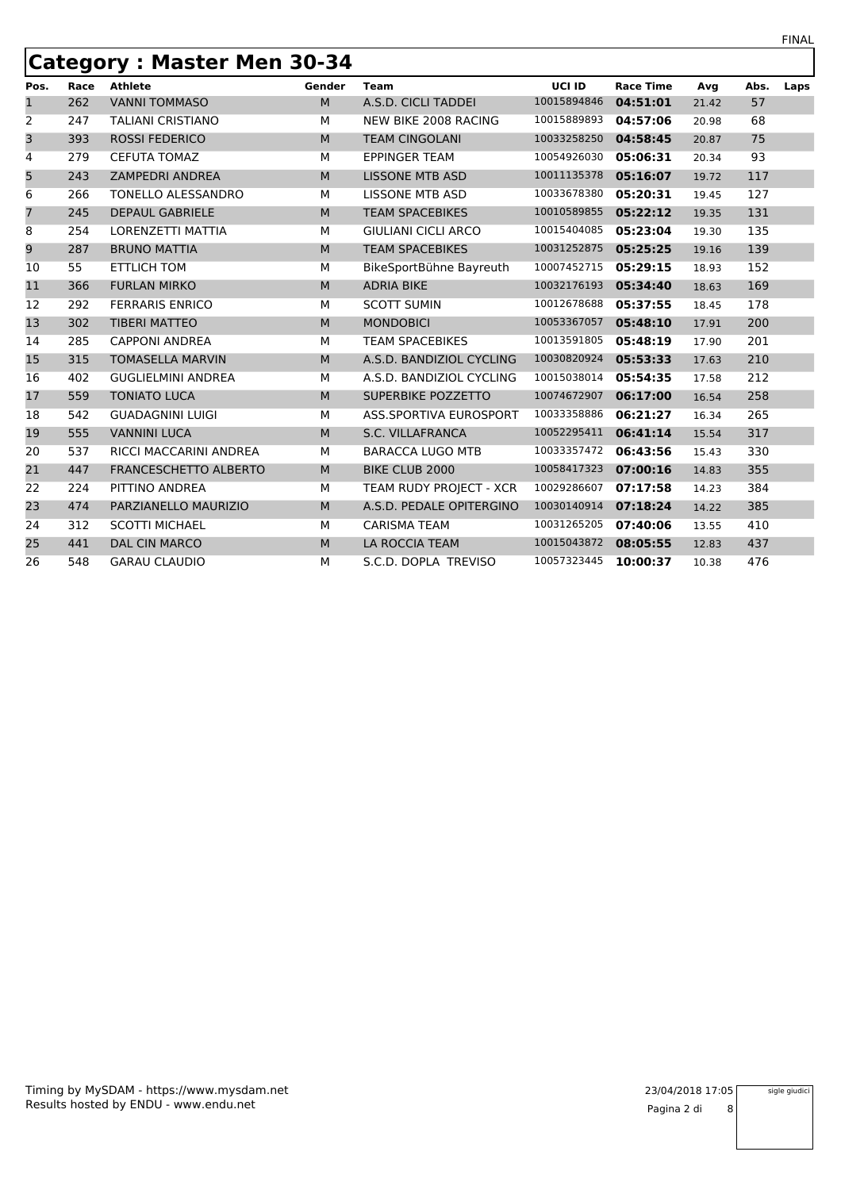#### **Category : Master Men 30-34**

| Pos.           | Race | <b>Athlete</b>               | Gender | <b>Team</b>                | <b>UCI ID</b> | <b>Race Time</b> | Avg   | Abs. | Laps |
|----------------|------|------------------------------|--------|----------------------------|---------------|------------------|-------|------|------|
| 1              | 262  | <b>VANNI TOMMASO</b>         | M      | A.S.D. CICLI TADDEI        | 10015894846   | 04:51:01         | 21.42 | 57   |      |
| 2              | 247  | <b>TALIANI CRISTIANO</b>     | M      | NEW BIKE 2008 RACING       | 10015889893   | 04:57:06         | 20.98 | 68   |      |
| 3              | 393  | <b>ROSSI FEDERICO</b>        | M      | <b>TEAM CINGOLANI</b>      | 10033258250   | 04:58:45         | 20.87 | 75   |      |
| 4              | 279  | <b>CEFUTA TOMAZ</b>          | M      | <b>EPPINGER TEAM</b>       | 10054926030   | 05:06:31         | 20.34 | 93   |      |
| 5              | 243  | <b>ZAMPEDRI ANDREA</b>       | M      | <b>LISSONE MTB ASD</b>     | 10011135378   | 05:16:07         | 19.72 | 117  |      |
| 6              | 266  | TONELLO ALESSANDRO           | M      | <b>LISSONE MTB ASD</b>     | 10033678380   | 05:20:31         | 19.45 | 127  |      |
| $\overline{7}$ | 245  | <b>DEPAUL GABRIELE</b>       | M      | <b>TEAM SPACEBIKES</b>     | 10010589855   | 05:22:12         | 19.35 | 131  |      |
| 8              | 254  | LORENZETTI MATTIA            | M      | <b>GIULIANI CICLI ARCO</b> | 10015404085   | 05:23:04         | 19.30 | 135  |      |
| 9              | 287  | <b>BRUNO MATTIA</b>          | M      | <b>TEAM SPACEBIKES</b>     | 10031252875   | 05:25:25         | 19.16 | 139  |      |
| 10             | 55   | <b>ETTLICH TOM</b>           | М      | BikeSportBühne Bayreuth    | 10007452715   | 05:29:15         | 18.93 | 152  |      |
| 11             | 366  | <b>FURLAN MIRKO</b>          | M      | <b>ADRIA BIKE</b>          | 10032176193   | 05:34:40         | 18.63 | 169  |      |
| 12             | 292  | <b>FERRARIS ENRICO</b>       | M      | <b>SCOTT SUMIN</b>         | 10012678688   | 05:37:55         | 18.45 | 178  |      |
| 13             | 302  | <b>TIBERI MATTEO</b>         | M      | <b>MONDOBICI</b>           | 10053367057   | 05:48:10         | 17.91 | 200  |      |
| 14             | 285  | <b>CAPPONI ANDREA</b>        | M      | <b>TEAM SPACEBIKES</b>     | 10013591805   | 05:48:19         | 17.90 | 201  |      |
| 15             | 315  | <b>TOMASELLA MARVIN</b>      | M      | A.S.D. BANDIZIOL CYCLING   | 10030820924   | 05:53:33         | 17.63 | 210  |      |
| 16             | 402  | <b>GUGLIELMINI ANDREA</b>    | М      | A.S.D. BANDIZIOL CYCLING   | 10015038014   | 05:54:35         | 17.58 | 212  |      |
| 17             | 559  | <b>TONIATO LUCA</b>          | M      | SUPERBIKE POZZETTO         | 10074672907   | 06:17:00         | 16.54 | 258  |      |
| 18             | 542  | <b>GUADAGNINI LUIGI</b>      | M      | ASS.SPORTIVA EUROSPORT     | 10033358886   | 06:21:27         | 16.34 | 265  |      |
| 19             | 555  | <b>VANNINI LUCA</b>          | M      | S.C. VILLAFRANCA           | 10052295411   | 06:41:14         | 15.54 | 317  |      |
| 20             | 537  | RICCI MACCARINI ANDREA       | M      | <b>BARACCA LUGO MTB</b>    | 10033357472   | 06:43:56         | 15.43 | 330  |      |
| 21             | 447  | <b>FRANCESCHETTO ALBERTO</b> | M      | <b>BIKE CLUB 2000</b>      | 10058417323   | 07:00:16         | 14.83 | 355  |      |
| 22             | 224  | PITTINO ANDREA               | М      | TEAM RUDY PROJECT - XCR    | 10029286607   | 07:17:58         | 14.23 | 384  |      |
| 23             | 474  | PARZIANELLO MAURIZIO         | M      | A.S.D. PEDALE OPITERGINO   | 10030140914   | 07:18:24         | 14.22 | 385  |      |
| 24             | 312  | <b>SCOTTI MICHAEL</b>        | м      | <b>CARISMA TEAM</b>        | 10031265205   | 07:40:06         | 13.55 | 410  |      |
| 25             | 441  | <b>DAL CIN MARCO</b>         | M      | LA ROCCIA TEAM             | 10015043872   | 08:05:55         | 12.83 | 437  |      |
| 26             | 548  | <b>GARAU CLAUDIO</b>         | M      | S.C.D. DOPLA TREVISO       | 10057323445   | 10:00:37         | 10.38 | 476  |      |

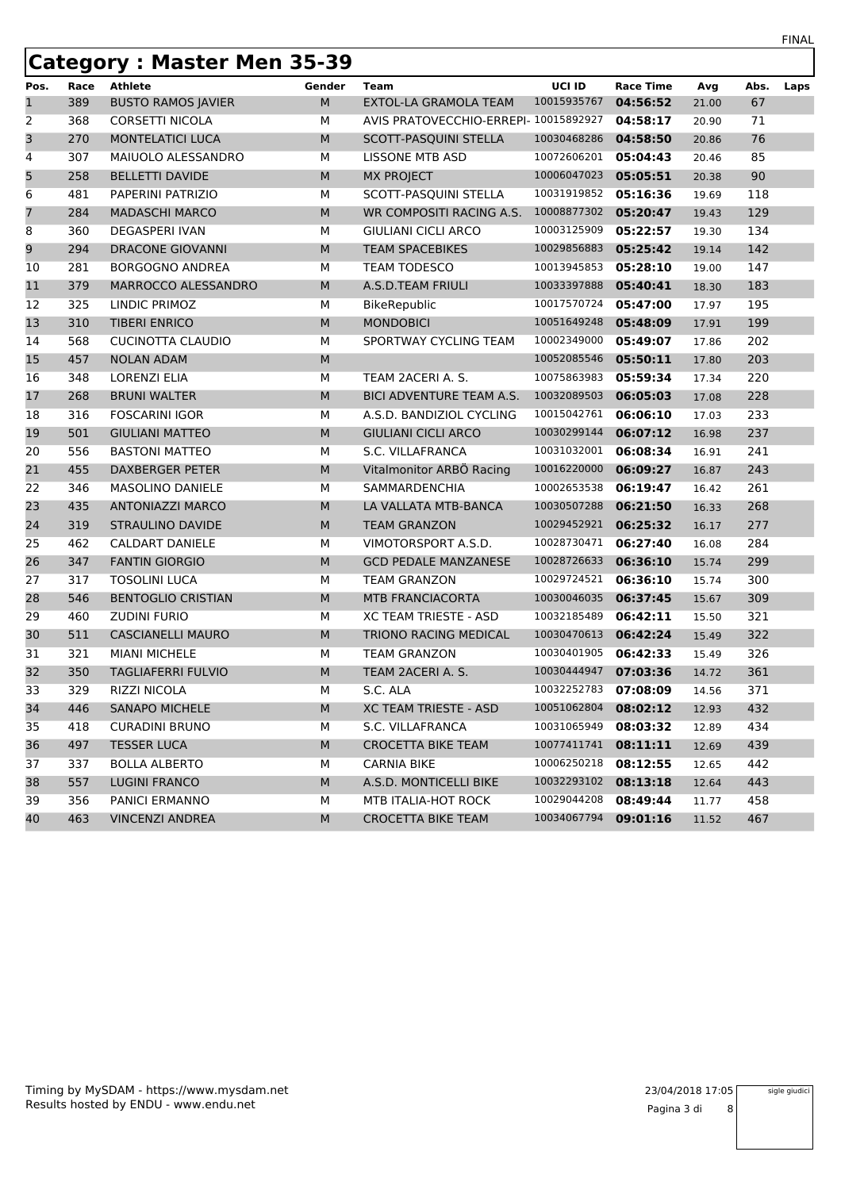## **Category : Master Men 35-39**

| Pos. | Race | <b>Athlete</b>            | Gender    | <b>Team</b>                           | UCI ID      | <b>Race Time</b> | Avg   | Abs. | Laps |
|------|------|---------------------------|-----------|---------------------------------------|-------------|------------------|-------|------|------|
| 1    | 389  | <b>BUSTO RAMOS JAVIER</b> | M         | EXTOL-LA GRAMOLA TEAM                 | 10015935767 | 04:56:52         | 21.00 | 67   |      |
| 2    | 368  | <b>CORSETTI NICOLA</b>    | М         | AVIS PRATOVECCHIO-ERREPI- 10015892927 |             | 04:58:17         | 20.90 | 71   |      |
| 3    | 270  | MONTELATICI LUCA          | ${\sf M}$ | SCOTT-PASQUINI STELLA                 | 10030468286 | 04:58:50         | 20.86 | 76   |      |
| 4    | 307  | MAIUOLO ALESSANDRO        | М         | <b>LISSONE MTB ASD</b>                | 10072606201 | 05:04:43         | 20.46 | 85   |      |
| 5    | 258  | <b>BELLETTI DAVIDE</b>    | M         | <b>MX PROJECT</b>                     | 10006047023 | 05:05:51         | 20.38 | 90   |      |
| 6    | 481  | PAPERINI PATRIZIO         | М         | SCOTT-PASQUINI STELLA                 | 10031919852 | 05:16:36         | 19.69 | 118  |      |
| 7    | 284  | <b>MADASCHI MARCO</b>     | M         | WR COMPOSITI RACING A.S.              | 10008877302 | 05:20:47         | 19.43 | 129  |      |
| 8    | 360  | <b>DEGASPERI IVAN</b>     | М         | <b>GIULIANI CICLI ARCO</b>            | 10003125909 | 05:22:57         | 19.30 | 134  |      |
| 9    | 294  | <b>DRACONE GIOVANNI</b>   | M         | <b>TEAM SPACEBIKES</b>                | 10029856883 | 05:25:42         | 19.14 | 142  |      |
| 10   | 281  | <b>BORGOGNO ANDREA</b>    | М         | <b>TEAM TODESCO</b>                   | 10013945853 | 05:28:10         | 19.00 | 147  |      |
| 11   | 379  | MARROCCO ALESSANDRO       | M         | A.S.D.TEAM FRIULI                     | 10033397888 | 05:40:41         | 18.30 | 183  |      |
| 12   | 325  | LINDIC PRIMOZ             | М         | BikeRepublic                          | 10017570724 | 05:47:00         | 17.97 | 195  |      |
| 13   | 310  | <b>TIBERI ENRICO</b>      | M         | <b>MONDOBICI</b>                      | 10051649248 | 05:48:09         | 17.91 | 199  |      |
| 14   | 568  | <b>CUCINOTTA CLAUDIO</b>  | М         | SPORTWAY CYCLING TEAM                 | 10002349000 | 05:49:07         | 17.86 | 202  |      |
| 15   | 457  | <b>NOLAN ADAM</b>         | ${\sf M}$ |                                       | 10052085546 | 05:50:11         | 17.80 | 203  |      |
| 16   | 348  | <b>LORENZI ELIA</b>       | М         | TEAM 2ACERI A. S.                     | 10075863983 | 05:59:34         | 17.34 | 220  |      |
| 17   | 268  | <b>BRUNI WALTER</b>       | M         | BICI ADVENTURE TEAM A.S.              | 10032089503 | 06:05:03         | 17.08 | 228  |      |
| 18   | 316  | <b>FOSCARINI IGOR</b>     | М         | A.S.D. BANDIZIOL CYCLING              | 10015042761 | 06:06:10         | 17.03 | 233  |      |
| 19   | 501  | <b>GIULIANI MATTEO</b>    | M         | <b>GIULIANI CICLI ARCO</b>            | 10030299144 | 06:07:12         | 16.98 | 237  |      |
| 20   | 556  | <b>BASTONI MATTEO</b>     | М         | S.C. VILLAFRANCA                      | 10031032001 | 06:08:34         | 16.91 | 241  |      |
| 21   | 455  | <b>DAXBERGER PETER</b>    | M         | Vitalmonitor ARBÖ Racing              | 10016220000 | 06:09:27         | 16.87 | 243  |      |
| 22   | 346  | MASOLINO DANIELE          | М         | SAMMARDENCHIA                         | 10002653538 | 06:19:47         | 16.42 | 261  |      |
| 23   | 435  | <b>ANTONIAZZI MARCO</b>   | M         | LA VALLATA MTB-BANCA                  | 10030507288 | 06:21:50         | 16.33 | 268  |      |
| 24   | 319  | <b>STRAULINO DAVIDE</b>   | M         | <b>TEAM GRANZON</b>                   | 10029452921 | 06:25:32         | 16.17 | 277  |      |
| 25   | 462  | <b>CALDART DANIELE</b>    | М         | VIMOTORSPORT A.S.D.                   | 10028730471 | 06:27:40         | 16.08 | 284  |      |
| 26   | 347  | <b>FANTIN GIORGIO</b>     | M         | <b>GCD PEDALE MANZANESE</b>           | 10028726633 | 06:36:10         | 15.74 | 299  |      |
| 27   | 317  | <b>TOSOLINI LUCA</b>      | М         | <b>TEAM GRANZON</b>                   | 10029724521 | 06:36:10         | 15.74 | 300  |      |
| 28   | 546  | <b>BENTOGLIO CRISTIAN</b> | M         | MTB FRANCIACORTA                      | 10030046035 | 06:37:45         | 15.67 | 309  |      |
| 29   | 460  | <b>ZUDINI FURIO</b>       | М         | XC TEAM TRIESTE - ASD                 | 10032185489 | 06:42:11         | 15.50 | 321  |      |
| 30   | 511  | <b>CASCIANELLI MAURO</b>  | M         | TRIONO RACING MEDICAL                 | 10030470613 | 06:42:24         | 15.49 | 322  |      |
| 31   | 321  | <b>MIANI MICHELE</b>      | М         | <b>TEAM GRANZON</b>                   | 10030401905 | 06:42:33         | 15.49 | 326  |      |
| 32   | 350  | <b>TAGLIAFERRI FULVIO</b> | M         | TEAM 2ACERI A. S.                     | 10030444947 | 07:03:36         | 14.72 | 361  |      |
| 33   | 329  | RIZZI NICOLA              | М         | S.C. ALA                              | 10032252783 | 07:08:09         | 14.56 | 371  |      |
| 34   | 446  | SANAPO MICHELE            | M         | XC TEAM TRIESTE - ASD                 | 10051062804 | 08:02:12         | 12.93 | 432  |      |
| 35   | 418  | <b>CURADINI BRUNO</b>     | М         | S.C. VILLAFRANCA                      | 10031065949 | 08:03:32         | 12.89 | 434  |      |
| 36   | 497  | <b>TESSER LUCA</b>        | M         | <b>CROCETTA BIKE TEAM</b>             | 10077411741 | 08:11:11         | 12.69 | 439  |      |
| 37   | 337  | <b>BOLLA ALBERTO</b>      | м         | <b>CARNIA BIKE</b>                    | 10006250218 | 08:12:55         | 12.65 | 442  |      |
| 38   | 557  | <b>LUGINI FRANCO</b>      | М         | A.S.D. MONTICELLI BIKE                | 10032293102 | 08:13:18         | 12.64 | 443  |      |
| 39   | 356  | PANICI ERMANNO            | м         | MTB ITALIA-HOT ROCK                   | 10029044208 | 08:49:44         | 11.77 | 458  |      |
| 40   | 463  | <b>VINCENZI ANDREA</b>    | M         | <b>CROCETTA BIKE TEAM</b>             | 10034067794 | 09:01:16         | 11.52 | 467  |      |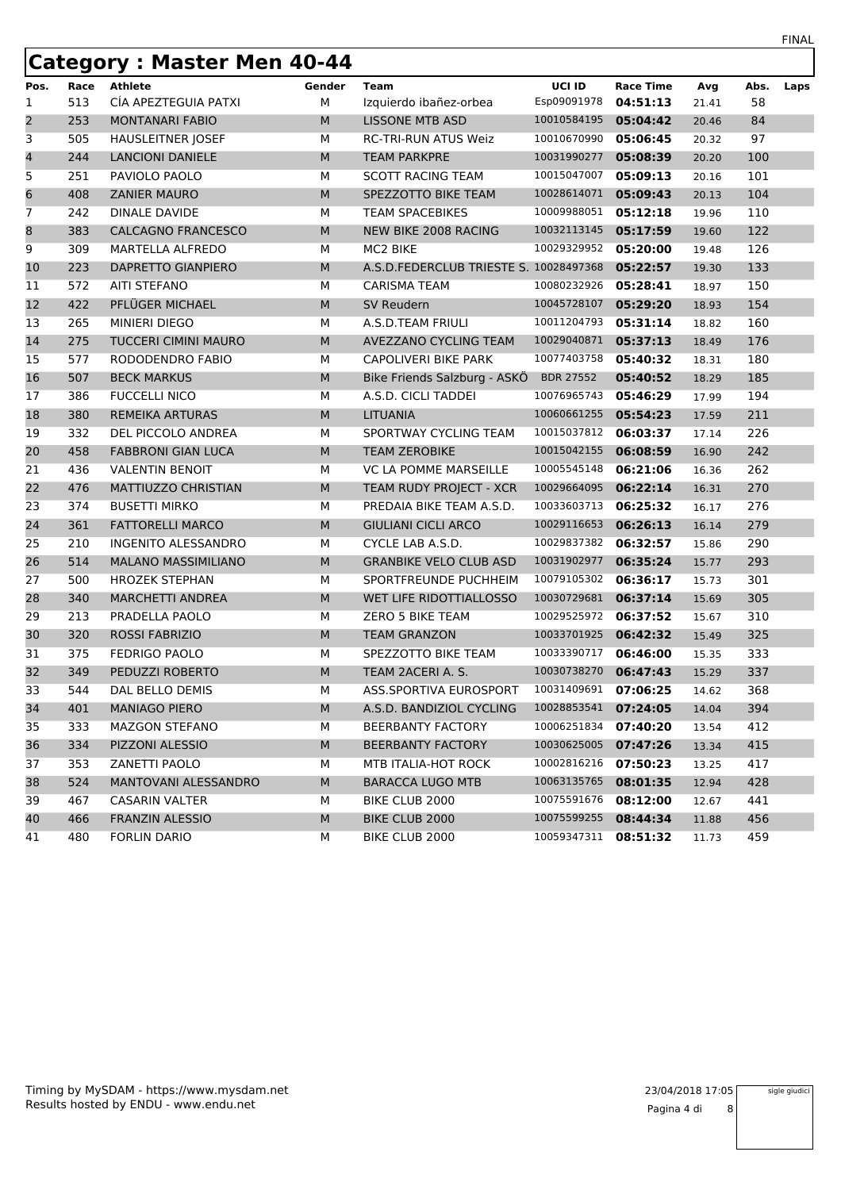|                 |      | <b>Category: Master Men 40-44</b> |        |                                             |                      |                  |       |      |      |
|-----------------|------|-----------------------------------|--------|---------------------------------------------|----------------------|------------------|-------|------|------|
| Pos.            | Race | <b>Athlete</b>                    | Gender | Team                                        | UCI ID               | <b>Race Time</b> | Avg   | Abs. | Laps |
| 1               | 513  | CÍA APEZTEGUIA PATXI              | М      | Izquierdo ibañez-orbea                      | Esp09091978          | 04:51:13         | 21.41 | 58   |      |
| $\overline{2}$  | 253  | <b>MONTANARI FABIO</b>            | M      | <b>LISSONE MTB ASD</b>                      | 10010584195          | 05:04:42         | 20.46 | 84   |      |
| 3               | 505  | <b>HAUSLEITNER JOSEF</b>          | М      | <b>RC-TRI-RUN ATUS Weiz</b>                 | 10010670990          | 05:06:45         | 20.32 | 97   |      |
| 4               | 244  | <b>LANCIONI DANIELE</b>           | M      | <b>TEAM PARKPRE</b>                         | 10031990277          | 05:08:39         | 20.20 | 100  |      |
| 5               | 251  | PAVIOLO PAOLO                     | м      | <b>SCOTT RACING TEAM</b>                    | 10015047007          | 05:09:13         | 20.16 | 101  |      |
| 6               | 408  | <b>ZANIER MAURO</b>               | M      | SPEZZOTTO BIKE TEAM                         | 10028614071          | 05:09:43         | 20.13 | 104  |      |
| 7               | 242  | <b>DINALE DAVIDE</b>              | М      | <b>TEAM SPACEBIKES</b>                      | 10009988051          | 05:12:18         | 19.96 | 110  |      |
| 8               | 383  | <b>CALCAGNO FRANCESCO</b>         | M      | <b>NEW BIKE 2008 RACING</b>                 | 10032113145          | 05:17:59         | 19.60 | 122  |      |
| 9               | 309  | MARTELLA ALFREDO                  | М      | MC2 BIKE                                    | 10029329952          | 05:20:00         | 19.48 | 126  |      |
| 10              | 223  | <b>DAPRETTO GIANPIERO</b>         | M      | A.S.D.FEDERCLUB TRIESTE S. 10028497368      |                      | 05:22:57         | 19.30 | 133  |      |
| 11              | 572  | <b>AITI STEFANO</b>               | м      | CARISMA TEAM                                | 10080232926          | 05:28:41         | 18.97 | 150  |      |
| 12              | 422  | PFLÜGER MICHAEL                   | M      | <b>SV Reudern</b>                           | 10045728107          | 05:29:20         | 18.93 | 154  |      |
| 13              | 265  | <b>MINIERI DIEGO</b>              | М      | A.S.D.TEAM FRIULI                           | 10011204793          | 05:31:14         | 18.82 | 160  |      |
| 14              | 275  | <b>TUCCERI CIMINI MAURO</b>       | M      | AVEZZANO CYCLING TEAM                       | 10029040871          | 05:37:13         | 18.49 | 176  |      |
| 15              | 577  | RODODENDRO FABIO                  | М      | <b>CAPOLIVERI BIKE PARK</b>                 | 10077403758          | 05:40:32         | 18.31 | 180  |      |
| 16              | 507  | <b>BECK MARKUS</b>                | M      | Bike Friends Salzburg - ASKÖ BDR 27552      |                      | 05:40:52         | 18.29 | 185  |      |
| 17              | 386  | <b>FUCCELLI NICO</b>              | м      | A.S.D. CICLI TADDEI                         | 10076965743          | 05:46:29         | 17.99 | 194  |      |
| 18              | 380  | <b>REMEIKA ARTURAS</b>            | M      | <b>LITUANIA</b>                             | 10060661255          | 05:54:23         | 17.59 | 211  |      |
| 19              | 332  | DEL PICCOLO ANDREA                | М      | SPORTWAY CYCLING TEAM                       | 10015037812          | 06:03:37         | 17.14 | 226  |      |
| 20              | 458  | <b>FABBRONI GIAN LUCA</b>         | M      | <b>TEAM ZEROBIKE</b>                        | 10015042155          | 06:08:59         | 16.90 | 242  |      |
| 21              | 436  | <b>VALENTIN BENOIT</b>            | М      | VC LA POMME MARSEILLE                       | 10005545148          | 06:21:06         | 16.36 | 262  |      |
| 22              | 476  | MATTIUZZO CHRISTIAN               | M      | TEAM RUDY PROJECT - XCR                     | 10029664095          | 06:22:14         | 16.31 | 270  |      |
| 23              | 374  | <b>BUSETTI MIRKO</b>              | м      | PREDAIA BIKE TEAM A.S.D.                    | 10033603713          | 06:25:32         | 16.17 | 276  |      |
| 24              | 361  | <b>FATTORELLI MARCO</b>           | M      | <b>GIULIANI CICLI ARCO</b>                  | 10029116653          | 06:26:13         | 16.14 | 279  |      |
| 25              | 210  | <b>INGENITO ALESSANDRO</b>        | М      | CYCLE LAB A.S.D.                            | 10029837382          | 06:32:57         | 15.86 | 290  |      |
| 26              | 514  | <b>MALANO MASSIMILIANO</b>        | M      | <b>GRANBIKE VELO CLUB ASD</b>               | 10031902977          | 06:35:24         | 15.77 | 293  |      |
| 27              | 500  | <b>HROZEK STEPHAN</b>             | М      | SPORTFREUNDE PUCHHEIM                       | 10079105302          | 06:36:17         | 15.73 | 301  |      |
| 28              | 340  | <b>MARCHETTI ANDREA</b>           | M      | WET LIFE RIDOTTIALLOSSO                     | 10030729681          | 06:37:14         | 15.69 | 305  |      |
| 29              | 213  | PRADELLA PAOLO                    | М      | <b>ZERO 5 BIKE TEAM</b>                     | 10029525972          | 06:37:52         | 15.67 | 310  |      |
| 30              | 320  | <b>ROSSI FABRIZIO</b>             | M      | <b>TEAM GRANZON</b>                         | 10033701925          | 06:42:32         | 15.49 | 325  |      |
| 31              | 375  | <b>FEDRIGO PAOLO</b>              | М      | SPEZZOTTO BIKE TEAM                         | 10033390717          | 06:46:00         | 15.35 | 333  |      |
| 32              | 349  | PEDUZZI ROBERTO                   | M      | TEAM 2ACERI A. S.                           | 10030738270          | 06:47:43         | 15.29 | 337  |      |
| $\overline{33}$ | 544  | DAL BELLO DEMIS                   | M      | ASS.SPORTIVA EUROSPORT 10031409691 07:06:25 |                      |                  | 14.62 | 368  |      |
| 34              | 401  | <b>MANIAGO PIERO</b>              | M      | A.S.D. BANDIZIOL CYCLING                    | 10028853541 07:24:05 |                  | 14.04 | 394  |      |
| 35              | 333  | <b>MAZGON STEFANO</b>             | м      | BEERBANTY FACTORY                           | 10006251834          | 07:40:20         | 13.54 | 412  |      |
| 36              | 334  | PIZZONI ALESSIO                   | М      | <b>BEERBANTY FACTORY</b>                    | 10030625005          | 07:47:26         | 13.34 | 415  |      |
| 37              | 353  | ZANETTI PAOLO                     | м      | MTB ITALIA-HOT ROCK                         | 10002816216          | 07:50:23         | 13.25 | 417  |      |
| 38              | 524  | <b>MANTOVANI ALESSANDRO</b>       | M      | <b>BARACCA LUGO MTB</b>                     | 10063135765          | 08:01:35         | 12.94 | 428  |      |
| 39              | 467  | <b>CASARIN VALTER</b>             | М      | BIKE CLUB 2000                              | 10075591676          | 08:12:00         | 12.67 | 441  |      |
| 40              | 466  | <b>FRANZIN ALESSIO</b>            | М      | <b>BIKE CLUB 2000</b>                       | 10075599255          | 08:44:34         | 11.88 | 456  |      |
| 41              | 480  | <b>FORLIN DARIO</b>               | М      | BIKE CLUB 2000                              | 10059347311 08:51:32 |                  | 11.73 | 459  |      |

sigle giudici

FINAL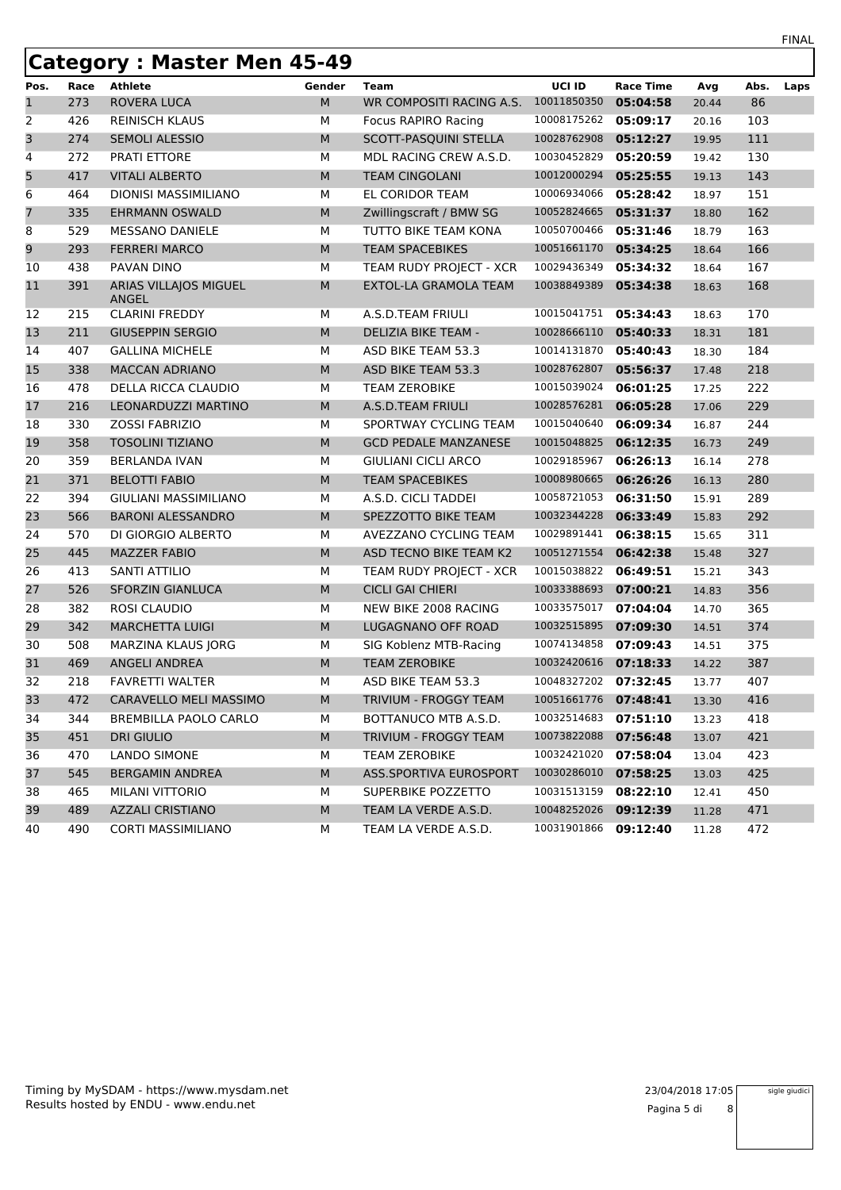#### **Category : Master Men 45-49**

|      | ∍    | .                              |        |                                      |                      |                  |       |      |      |
|------|------|--------------------------------|--------|--------------------------------------|----------------------|------------------|-------|------|------|
| Pos. | Race | <b>Athlete</b>                 | Gender | <b>Team</b>                          | <b>UCI ID</b>        | <b>Race Time</b> | Avg   | Abs. | Laps |
| 1    | 273  | ROVERA LUCA                    | M      | WR COMPOSITI RACING A.S. 10011850350 |                      | 05:04:58         | 20.44 | 86   |      |
| 2    | 426  | <b>REINISCH KLAUS</b>          | м      | Focus RAPIRO Racing                  | 10008175262          | 05:09:17         | 20.16 | 103  |      |
| 3    | 274  | SEMOLI ALESSIO                 | M      | SCOTT-PASQUINI STELLA                | 10028762908          | 05:12:27         | 19.95 | 111  |      |
| 4    | 272  | PRATI ETTORE                   | м      | MDL RACING CREW A.S.D.               | 10030452829          | 05:20:59         | 19.42 | 130  |      |
| 5    | 417  | <b>VITALI ALBERTO</b>          | M      | <b>TEAM CINGOLANI</b>                | 10012000294          | 05:25:55         | 19.13 | 143  |      |
| 6    | 464  | <b>DIONISI MASSIMILIANO</b>    | М      | EL CORIDOR TEAM                      | 10006934066          | 05:28:42         | 18.97 | 151  |      |
| 7    | 335  | <b>EHRMANN OSWALD</b>          | M      | Zwillingscraft / BMW SG              | 10052824665          | 05:31:37         | 18.80 | 162  |      |
| 8    | 529  | <b>MESSANO DANIELE</b>         | м      | TUTTO BIKE TEAM KONA                 | 10050700466          | 05:31:46         | 18.79 | 163  |      |
| 9    | 293  | <b>FERRERI MARCO</b>           | M      | <b>TEAM SPACEBIKES</b>               | 10051661170          | 05:34:25         | 18.64 | 166  |      |
| 10   | 438  | PAVAN DINO                     | м      | TEAM RUDY PROJECT - XCR              | 10029436349          | 05:34:32         | 18.64 | 167  |      |
| 11   | 391  | ARIAS VILLAJOS MIGUEL<br>ANGEL | M      | EXTOL-LA GRAMOLA TEAM                | 10038849389          | 05:34:38         | 18.63 | 168  |      |
| 12   | 215  | <b>CLARINI FREDDY</b>          | м      | A.S.D.TEAM FRIULI                    | 10015041751          | 05:34:43         | 18.63 | 170  |      |
| 13   | 211  | <b>GIUSEPPIN SERGIO</b>        | M      | DELIZIA BIKE TEAM -                  | 10028666110          | 05:40:33         | 18.31 | 181  |      |
| 14   | 407  | <b>GALLINA MICHELE</b>         | м      | ASD BIKE TEAM 53.3                   | 10014131870          | 05:40:43         | 18.30 | 184  |      |
| 15   | 338  | <b>MACCAN ADRIANO</b>          | M      | ASD BIKE TEAM 53.3                   | 10028762807          | 05:56:37         | 17.48 | 218  |      |
| 16   | 478  | <b>DELLA RICCA CLAUDIO</b>     | м      | <b>TEAM ZEROBIKE</b>                 | 10015039024          | 06:01:25         | 17.25 | 222  |      |
| 17   | 216  | LEONARDUZZI MARTINO            | M      | A.S.D.TEAM FRIULI                    | 10028576281          | 06:05:28         | 17.06 | 229  |      |
| 18   | 330  | <b>ZOSSI FABRIZIO</b>          | М      | SPORTWAY CYCLING TEAM                | 10015040640          | 06:09:34         | 16.87 | 244  |      |
| 19   | 358  | <b>TOSOLINI TIZIANO</b>        | M      | <b>GCD PEDALE MANZANESE</b>          | 10015048825          | 06:12:35         | 16.73 | 249  |      |
| 20   | 359  | <b>BERLANDA IVAN</b>           | м      | <b>GIULIANI CICLI ARCO</b>           | 10029185967          | 06:26:13         | 16.14 | 278  |      |
| 21   | 371  | <b>BELOTTI FABIO</b>           | M      | <b>TEAM SPACEBIKES</b>               | 10008980665          | 06:26:26         | 16.13 | 280  |      |
| 22   | 394  | <b>GIULIANI MASSIMILIANO</b>   | м      | A.S.D. CICLI TADDEI                  | 10058721053          | 06:31:50         | 15.91 | 289  |      |
| 23   | 566  | <b>BARONI ALESSANDRO</b>       | M      | SPEZZOTTO BIKE TEAM                  | 10032344228          | 06:33:49         | 15.83 | 292  |      |
| 24   | 570  | DI GIORGIO ALBERTO             | М      | AVEZZANO CYCLING TEAM                | 10029891441          | 06:38:15         | 15.65 | 311  |      |
| 25   | 445  | <b>MAZZER FABIO</b>            | M      | ASD TECNO BIKE TEAM K2               | 10051271554          | 06:42:38         | 15.48 | 327  |      |
| 26   | 413  | <b>SANTI ATTILIO</b>           | м      | TEAM RUDY PROJECT - XCR              | 10015038822          | 06:49:51         | 15.21 | 343  |      |
| 27   | 526  | <b>SFORZIN GIANLUCA</b>        | M      | <b>CICLI GAI CHIERI</b>              | 10033388693          | 07:00:21         | 14.83 | 356  |      |
| 28   | 382  | <b>ROSI CLAUDIO</b>            | м      | NEW BIKE 2008 RACING                 | 10033575017          | 07:04:04         | 14.70 | 365  |      |
| 29   | 342  | <b>MARCHETTA LUIGI</b>         | M      | LUGAGNANO OFF ROAD                   | 10032515895          | 07:09:30         | 14.51 | 374  |      |
| 30   | 508  | MARZINA KLAUS JORG             | М      | SIG Koblenz MTB-Racing               | 10074134858          | 07:09:43         | 14.51 | 375  |      |
| 31   | 469  | <b>ANGELI ANDREA</b>           | M      | <b>TEAM ZEROBIKE</b>                 | 10032420616          | 07:18:33         | 14.22 | 387  |      |
| 32   | 218  | <b>FAVRETTI WALTER</b>         | М      | ASD BIKE TEAM 53.3                   | 10048327202          | 07:32:45         | 13.77 | 407  |      |
| 33   | 472  | CARAVELLO MELI MASSIMO         | М      | TRIVIUM - FROGGY TEAM                | 10051661776 07:48:41 |                  | 13.30 | 416  |      |
| 34   | 344  | <b>BREMBILLA PAOLO CARLO</b>   | м      | BOTTANUCO MTB A.S.D.                 | 10032514683 07:51:10 |                  | 13.23 | 418  |      |
| 35   | 451  | <b>DRI GIULIO</b>              | М      | TRIVIUM - FROGGY TEAM                | 10073822088          | 07:56:48         | 13.07 | 421  |      |
| 36   | 470  | <b>LANDO SIMONE</b>            | м      | <b>TEAM ZEROBIKE</b>                 | 10032421020          | 07:58:04         | 13.04 | 423  |      |
| 37   | 545  | <b>BERGAMIN ANDREA</b>         | М      | ASS.SPORTIVA EUROSPORT               | 10030286010          | 07:58:25         | 13.03 | 425  |      |
| 38   | 465  | MILANI VITTORIO                | м      | SUPERBIKE POZZETTO                   | 10031513159          | 08:22:10         | 12.41 | 450  |      |
| 39   | 489  | <b>AZZALI CRISTIANO</b>        | M      | TEAM LA VERDE A.S.D.                 | 10048252026          | 09:12:39         | 11.28 | 471  |      |
| 40   | 490  | <b>CORTI MASSIMILIANO</b>      | М      | TEAM LA VERDE A.S.D.                 | 10031901866          | 09:12:40         | 11.28 | 472  |      |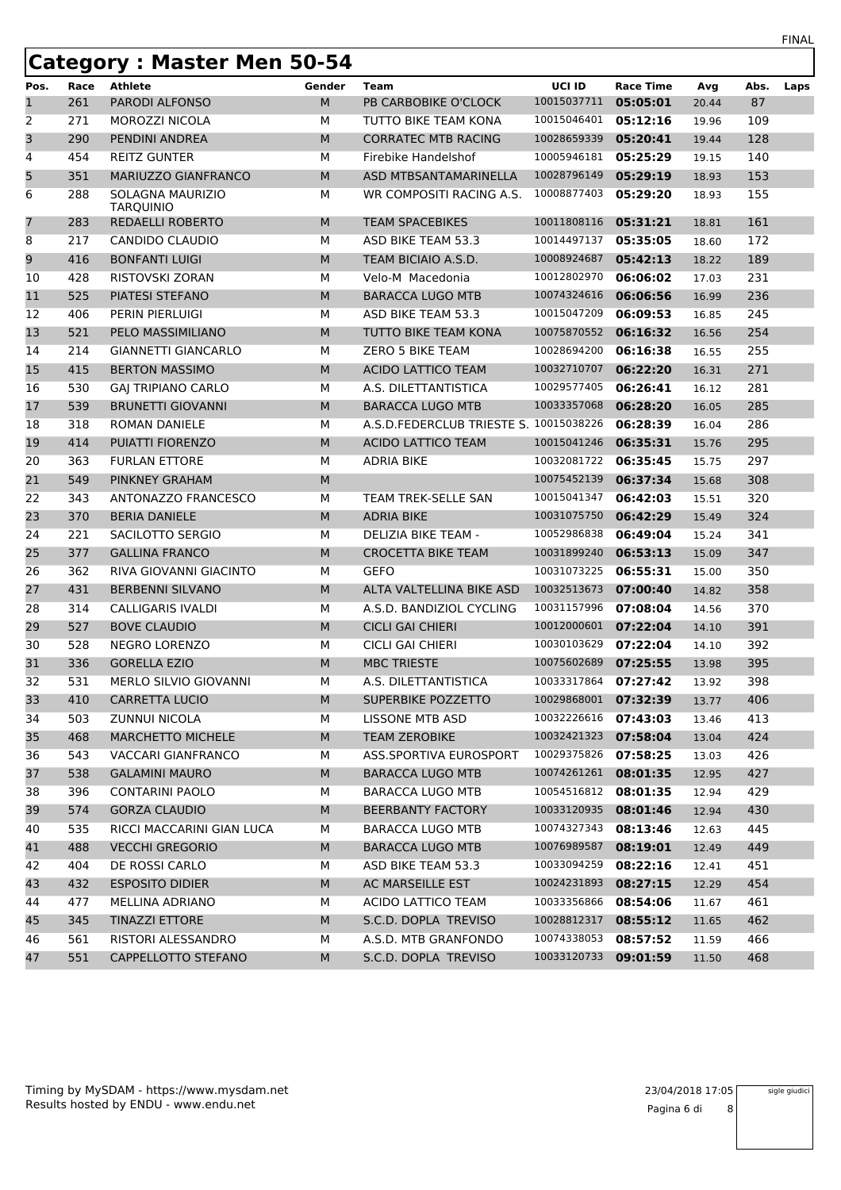|      |      | <b>Category: Master Men 50-54</b> |        |                                        |                      |                  |       |      |      |
|------|------|-----------------------------------|--------|----------------------------------------|----------------------|------------------|-------|------|------|
| Pos. | Race | <b>Athlete</b>                    | Gender | <b>Team</b>                            | UCI ID               | <b>Race Time</b> | Avg   | Abs. | Laps |
| 1    | 261  | PARODI ALFONSO                    | M      | PB CARBOBIKE O'CLOCK                   | 10015037711          | 05:05:01         | 20.44 | 87   |      |
| 2    | 271  | MOROZZI NICOLA                    | м      | TUTTO BIKE TEAM KONA                   | 10015046401          | 05:12:16         | 19.96 | 109  |      |
| 3    | 290  | PENDINI ANDREA                    | M      | <b>CORRATEC MTB RACING</b>             | 10028659339          | 05:20:41         | 19.44 | 128  |      |
| 4    | 454  | <b>REITZ GUNTER</b>               | M      | Firebike Handelshof                    | 10005946181          | 05:25:29         | 19.15 | 140  |      |
| 5    | 351  | MARIUZZO GIANFRANCO               | M      | ASD MTBSANTAMARINELLA                  | 10028796149          | 05:29:19         | 18.93 | 153  |      |
| 6    | 288  | SOLAGNA MAURIZIO<br>TARQUINIO     | м      | WR COMPOSITI RACING A.S.               | 10008877403          | 05:29:20         | 18.93 | 155  |      |
| 7    | 283  | <b>REDAELLI ROBERTO</b>           | M      | <b>TEAM SPACEBIKES</b>                 | 10011808116          | 05:31:21         | 18.81 | 161  |      |
| 8    | 217  | CANDIDO CLAUDIO                   | м      | ASD BIKE TEAM 53.3                     | 10014497137          | 05:35:05         | 18.60 | 172  |      |
| 9    | 416  | <b>BONFANTI LUIGI</b>             | M      | TEAM BICIAIO A.S.D.                    | 10008924687          | 05:42:13         | 18.22 | 189  |      |
| 10   | 428  | RISTOVSKI ZORAN                   | м      | Velo-M Macedonia                       | 10012802970          | 06:06:02         | 17.03 | 231  |      |
| 11   | 525  | PIATESI STEFANO                   | M      | <b>BARACCA LUGO MTB</b>                | 10074324616          | 06:06:56         | 16.99 | 236  |      |
| 12   | 406  | PERIN PIERLUIGI                   | М      | ASD BIKE TEAM 53.3                     | 10015047209          | 06:09:53         | 16.85 | 245  |      |
| 13   | 521  | PELO MASSIMILIANO                 | M      | TUTTO BIKE TEAM KONA                   | 10075870552          | 06:16:32         | 16.56 | 254  |      |
| 14   | 214  | <b>GIANNETTI GIANCARLO</b>        | М      | <b>ZERO 5 BIKE TEAM</b>                | 10028694200          | 06:16:38         | 16.55 | 255  |      |
| 15   | 415  | <b>BERTON MASSIMO</b>             | M      | <b>ACIDO LATTICO TEAM</b>              | 10032710707          | 06:22:20         | 16.31 | 271  |      |
| 16   | 530  | <b>GAJ TRIPIANO CARLO</b>         | М      | A.S. DILETTANTISTICA                   | 10029577405          | 06:26:41         | 16.12 | 281  |      |
| 17   | 539  | <b>BRUNETTI GIOVANNI</b>          | M      | <b>BARACCA LUGO MTB</b>                | 10033357068          | 06:28:20         | 16.05 | 285  |      |
| 18   | 318  | <b>ROMAN DANIELE</b>              | М      | A.S.D.FEDERCLUB TRIESTE S. 10015038226 |                      | 06:28:39         | 16.04 | 286  |      |
| 19   | 414  | <b>PUIATTI FIORENZO</b>           | M      | <b>ACIDO LATTICO TEAM</b>              | 10015041246          | 06:35:31         | 15.76 | 295  |      |
| 20   | 363  | <b>FURLAN ETTORE</b>              | м      | <b>ADRIA BIKE</b>                      | 10032081722          | 06:35:45         | 15.75 | 297  |      |
| 21   | 549  | PINKNEY GRAHAM                    | M      |                                        | 10075452139          | 06:37:34         | 15.68 | 308  |      |
| 22   | 343  | ANTONAZZO FRANCESCO               | М      | TEAM TREK-SELLE SAN                    | 10015041347          | 06:42:03         | 15.51 | 320  |      |
| 23   | 370  | <b>BERIA DANIELE</b>              | M      | <b>ADRIA BIKE</b>                      | 10031075750          | 06:42:29         | 15.49 | 324  |      |
| 24   | 221  | SACILOTTO SERGIO                  | М      | DELIZIA BIKE TEAM -                    | 10052986838          | 06:49:04         | 15.24 | 341  |      |
| 25   | 377  | <b>GALLINA FRANCO</b>             | M      | <b>CROCETTA BIKE TEAM</b>              | 10031899240          | 06:53:13         | 15.09 | 347  |      |
| 26   | 362  | RIVA GIOVANNI GIACINTO            | М      | <b>GEFO</b>                            | 10031073225          | 06:55:31         | 15.00 | 350  |      |
| 27   | 431  | <b>BERBENNI SILVANO</b>           | M      | ALTA VALTELLINA BIKE ASD               | 10032513673          | 07:00:40         | 14.82 | 358  |      |
| 28   | 314  | <b>CALLIGARIS IVALDI</b>          | М      | A.S.D. BANDIZIOL CYCLING               | 10031157996          | 07:08:04         | 14.56 | 370  |      |
| 29   | 527  | <b>BOVE CLAUDIO</b>               | M      | <b>CICLI GAI CHIERI</b>                | 10012000601          | 07:22:04         | 14.10 | 391  |      |
| 30   | 528  | <b>NEGRO LORENZO</b>              | м      | <b>CICLI GAI CHIERI</b>                | 10030103629          | 07:22:04         | 14.10 | 392  |      |
| 31   | 336  | <b>GORELLA EZIO</b>               | M      | <b>MBC TRIESTE</b>                     | 10075602689          | 07:25:55         | 13.98 | 395  |      |
| 32   | 531  | MERLO SILVIO GIOVANNI             | М      | A.S. DILETTANTISTICA                   | 10033317864 07:27:42 |                  | 13.92 | 398  |      |
| 33   | 410  | <b>CARRETTA LUCIO</b>             | M      | SUPERBIKE POZZETTO                     | 10029868001 07:32:39 |                  | 13.77 | 406  |      |
| 34   | 503  | <b>ZUNNUI NICOLA</b>              | М      | LISSONE MTB ASD                        | 10032226616          | 07:43:03         | 13.46 | 413  |      |
| 35   | 468  | <b>MARCHETTO MICHELE</b>          | M      | <b>TEAM ZEROBIKE</b>                   | 10032421323          | 07:58:04         | 13.04 | 424  |      |
| 36   | 543  | VACCARI GIANFRANCO                | М      | ASS.SPORTIVA EUROSPORT                 | 10029375826          | 07:58:25         | 13.03 | 426  |      |
| 37   | 538  | <b>GALAMINI MAURO</b>             | M      | <b>BARACCA LUGO MTB</b>                | 10074261261          | 08:01:35         | 12.95 | 427  |      |
| 38   | 396  | <b>CONTARINI PAOLO</b>            | м      | <b>BARACCA LUGO MTB</b>                | 10054516812          | 08:01:35         | 12.94 | 429  |      |
| 39   | 574  | <b>GORZA CLAUDIO</b>              | M      | <b>BEERBANTY FACTORY</b>               | 10033120935          | 08:01:46         | 12.94 | 430  |      |
| 40   | 535  | RICCI MACCARINI GIAN LUCA         | М      | <b>BARACCA LUGO MTB</b>                | 10074327343          | 08:13:46         | 12.63 | 445  |      |
| 41   | 488  | <b>VECCHI GREGORIO</b>            | M      | <b>BARACCA LUGO MTB</b>                | 10076989587          | 08:19:01         | 12.49 | 449  |      |
| 42   | 404  | DE ROSSI CARLO                    | м      | ASD BIKE TEAM 53.3                     | 10033094259          | 08:22:16         | 12.41 | 451  |      |
| 43   | 432  | <b>ESPOSITO DIDIER</b>            | M      | AC MARSEILLE EST                       | 10024231893          | 08:27:15         | 12.29 | 454  |      |
| 44   | 477  | MELLINA ADRIANO                   | М      | ACIDO LATTICO TEAM                     | 10033356866          | 08:54:06         | 11.67 | 461  |      |
| 45   | 345  | <b>TINAZZI ETTORE</b>             | M      | S.C.D. DOPLA TREVISO                   | 10028812317          | 08:55:12         | 11.65 | 462  |      |
| 46   | 561  | RISTORI ALESSANDRO                | М      | A.S.D. MTB GRANFONDO                   | 10074338053          | 08:57:52         | 11.59 | 466  |      |
| 47   | 551  | CAPPELLOTTO STEFANO               | M      | S.C.D. DOPLA TREVISO                   | 10033120733          | 09:01:59         | 11.50 | 468  |      |

sigle giudici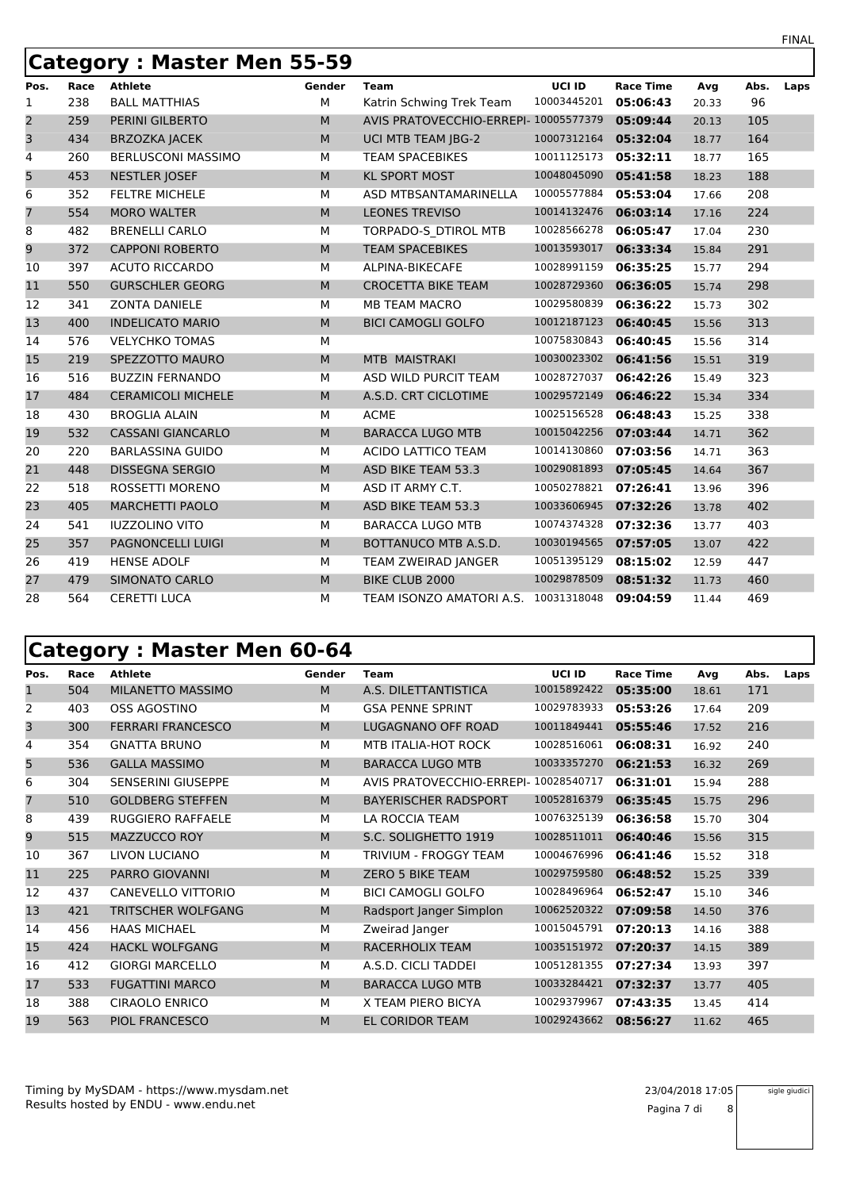### **Category : Master Men 55-59**

| Pos.                    | Race | <b>Athlete</b>            | Gender    | <b>Team</b>                           | <b>UCI ID</b> | <b>Race Time</b> | Avg   | Abs. | Laps |
|-------------------------|------|---------------------------|-----------|---------------------------------------|---------------|------------------|-------|------|------|
| 1                       | 238  | <b>BALL MATTHIAS</b>      | М         | Katrin Schwing Trek Team              | 10003445201   | 05:06:43         | 20.33 | 96   |      |
| 2                       | 259  | PERINI GILBERTO           | ${\sf M}$ | AVIS PRATOVECCHIO-ERREPI- 10005577379 |               | 05:09:44         | 20.13 | 105  |      |
| $\overline{\mathbf{3}}$ | 434  | <b>BRZOZKA JACEK</b>      | M         | UCI MTB TEAM JBG-2                    | 10007312164   | 05:32:04         | 18.77 | 164  |      |
| 4                       | 260  | <b>BERLUSCONI MASSIMO</b> | M         | <b>TEAM SPACEBIKES</b>                | 10011125173   | 05:32:11         | 18.77 | 165  |      |
| 5                       | 453  | <b>NESTLER JOSEF</b>      | M         | <b>KL SPORT MOST</b>                  | 10048045090   | 05:41:58         | 18.23 | 188  |      |
| 6                       | 352  | <b>FELTRE MICHELE</b>     | М         | ASD MTBSANTAMARINELLA                 | 10005577884   | 05:53:04         | 17.66 | 208  |      |
| 7                       | 554  | <b>MORO WALTER</b>        | M         | <b>LEONES TREVISO</b>                 | 10014132476   | 06:03:14         | 17.16 | 224  |      |
| 8                       | 482  | <b>BRENELLI CARLO</b>     | М         | TORPADO-S DTIROL MTB                  | 10028566278   | 06:05:47         | 17.04 | 230  |      |
| 9                       | 372  | <b>CAPPONI ROBERTO</b>    | ${\sf M}$ | <b>TEAM SPACEBIKES</b>                | 10013593017   | 06:33:34         | 15.84 | 291  |      |
| 10                      | 397  | <b>ACUTO RICCARDO</b>     | M         | ALPINA-BIKECAFE                       | 10028991159   | 06:35:25         | 15.77 | 294  |      |
| 11                      | 550  | <b>GURSCHLER GEORG</b>    | ${\sf M}$ | <b>CROCETTA BIKE TEAM</b>             | 10028729360   | 06:36:05         | 15.74 | 298  |      |
| 12                      | 341  | <b>ZONTA DANIELE</b>      | M         | <b>MB TEAM MACRO</b>                  | 10029580839   | 06:36:22         | 15.73 | 302  |      |
| 13                      | 400  | <b>INDELICATO MARIO</b>   | M         | <b>BICI CAMOGLI GOLFO</b>             | 10012187123   | 06:40:45         | 15.56 | 313  |      |
| 14                      | 576  | <b>VELYCHKO TOMAS</b>     | М         |                                       | 10075830843   | 06:40:45         | 15.56 | 314  |      |
| 15                      | 219  | SPEZZOTTO MAURO           | M         | MTB MAISTRAKI                         | 10030023302   | 06:41:56         | 15.51 | 319  |      |
| 16                      | 516  | <b>BUZZIN FERNANDO</b>    | M         | ASD WILD PURCIT TEAM                  | 10028727037   | 06:42:26         | 15.49 | 323  |      |
| 17                      | 484  | <b>CERAMICOLI MICHELE</b> | M         | A.S.D. CRT CICLOTIME                  | 10029572149   | 06:46:22         | 15.34 | 334  |      |
| 18                      | 430  | <b>BROGLIA ALAIN</b>      | M         | <b>ACME</b>                           | 10025156528   | 06:48:43         | 15.25 | 338  |      |
| 19                      | 532  | <b>CASSANI GIANCARLO</b>  | M         | <b>BARACCA LUGO MTB</b>               | 10015042256   | 07:03:44         | 14.71 | 362  |      |
| 20                      | 220  | <b>BARLASSINA GUIDO</b>   | М         | <b>ACIDO LATTICO TEAM</b>             | 10014130860   | 07:03:56         | 14.71 | 363  |      |
| 21                      | 448  | <b>DISSEGNA SERGIO</b>    | M         | ASD BIKE TEAM 53.3                    | 10029081893   | 07:05:45         | 14.64 | 367  |      |
| 22                      | 518  | ROSSETTI MORENO           | M         | ASD IT ARMY C.T.                      | 10050278821   | 07:26:41         | 13.96 | 396  |      |
| 23                      | 405  | <b>MARCHETTI PAOLO</b>    | ${\sf M}$ | ASD BIKE TEAM 53.3                    | 10033606945   | 07:32:26         | 13.78 | 402  |      |
| 24                      | 541  | <b>IUZZOLINO VITO</b>     | M         | <b>BARACCA LUGO MTB</b>               | 10074374328   | 07:32:36         | 13.77 | 403  |      |
| 25                      | 357  | <b>PAGNONCELLI LUIGI</b>  | ${\sf M}$ | BOTTANUCO MTB A.S.D.                  | 10030194565   | 07:57:05         | 13.07 | 422  |      |
| 26                      | 419  | <b>HENSE ADOLF</b>        | M         | TEAM ZWEIRAD JANGER                   | 10051395129   | 08:15:02         | 12.59 | 447  |      |
| 27                      | 479  | <b>SIMONATO CARLO</b>     | ${\sf M}$ | <b>BIKE CLUB 2000</b>                 | 10029878509   | 08:51:32         | 11.73 | 460  |      |
| 28                      | 564  | <b>CERETTI LUCA</b>       | M         | TEAM ISONZO AMATORI A.S. 10031318048  |               | 09:04:59         | 11.44 | 469  |      |

# **Category : Master Men 60-64**

| Pos. | Race | <b>Athlete</b>            | Gender | <b>Team</b>                           | UCI ID      | <b>Race Time</b> | Avq   | Abs. | Laps |
|------|------|---------------------------|--------|---------------------------------------|-------------|------------------|-------|------|------|
| 1    | 504  | MILANETTO MASSIMO         | M      | A.S. DILETTANTISTICA                  | 10015892422 | 05:35:00         | 18.61 | 171  |      |
| 2    | 403  | <b>OSS AGOSTINO</b>       | M      | <b>GSA PENNE SPRINT</b>               | 10029783933 | 05:53:26         | 17.64 | 209  |      |
| 3    | 300  | <b>FERRARI FRANCESCO</b>  | M      | <b>LUGAGNANO OFF ROAD</b>             | 10011849441 | 05:55:46         | 17.52 | 216  |      |
| 4    | 354  | <b>GNATTA BRUNO</b>       | M      | MTB ITALIA-HOT ROCK                   | 10028516061 | 06:08:31         | 16.92 | 240  |      |
| 5    | 536  | <b>GALLA MASSIMO</b>      | M      | <b>BARACCA LUGO MTB</b>               | 10033357270 | 06:21:53         | 16.32 | 269  |      |
| 6    | 304  | <b>SENSERINI GIUSEPPE</b> | M      | AVIS PRATOVECCHIO-ERREPI- 10028540717 |             | 06:31:01         | 15.94 | 288  |      |
| 7    | 510  | <b>GOLDBERG STEFFEN</b>   | M      | <b>BAYERISCHER RADSPORT</b>           | 10052816379 | 06:35:45         | 15.75 | 296  |      |
| 8    | 439  | RUGGIERO RAFFAELE         | M      | LA ROCCIA TEAM                        | 10076325139 | 06:36:58         | 15.70 | 304  |      |
| 9    | 515  | <b>MAZZUCCO ROY</b>       | M      | S.C. SOLIGHETTO 1919                  | 10028511011 | 06:40:46         | 15.56 | 315  |      |
| 10   | 367  | LIVON LUCIANO             | M      | TRIVIUM - FROGGY TEAM                 | 10004676996 | 06:41:46         | 15.52 | 318  |      |
| 11   | 225  | PARRO GIOVANNI            | M      | <b>ZERO 5 BIKE TEAM</b>               | 10029759580 | 06:48:52         | 15.25 | 339  |      |
| 12   | 437  | CANEVELLO VITTORIO        | M      | <b>BICI CAMOGLI GOLFO</b>             | 10028496964 | 06:52:47         | 15.10 | 346  |      |
| 13   | 421  | TRITSCHER WOLFGANG        | M      | Radsport Janger Simplon               | 10062520322 | 07:09:58         | 14.50 | 376  |      |
| 14   | 456  | <b>HAAS MICHAEL</b>       | м      | Zweirad langer                        | 10015045791 | 07:20:13         | 14.16 | 388  |      |
| 15   | 424  | <b>HACKL WOLFGANG</b>     | M      | RACERHOLIX TEAM                       | 10035151972 | 07:20:37         | 14.15 | 389  |      |
| 16   | 412  | <b>GIORGI MARCELLO</b>    | M      | A.S.D. CICLI TADDEI                   | 10051281355 | 07:27:34         | 13.93 | 397  |      |
| 17   | 533  | <b>FUGATTINI MARCO</b>    | M      | <b>BARACCA LUGO MTB</b>               | 10033284421 | 07:32:37         | 13.77 | 405  |      |
| 18   | 388  | <b>CIRAOLO ENRICO</b>     | M      | X TEAM PIERO BICYA                    | 10029379967 | 07:43:35         | 13.45 | 414  |      |
| 19   | 563  | <b>PIOL FRANCESCO</b>     | M      | <b>EL CORIDOR TEAM</b>                | 10029243662 | 08:56:27         | 11.62 | 465  |      |